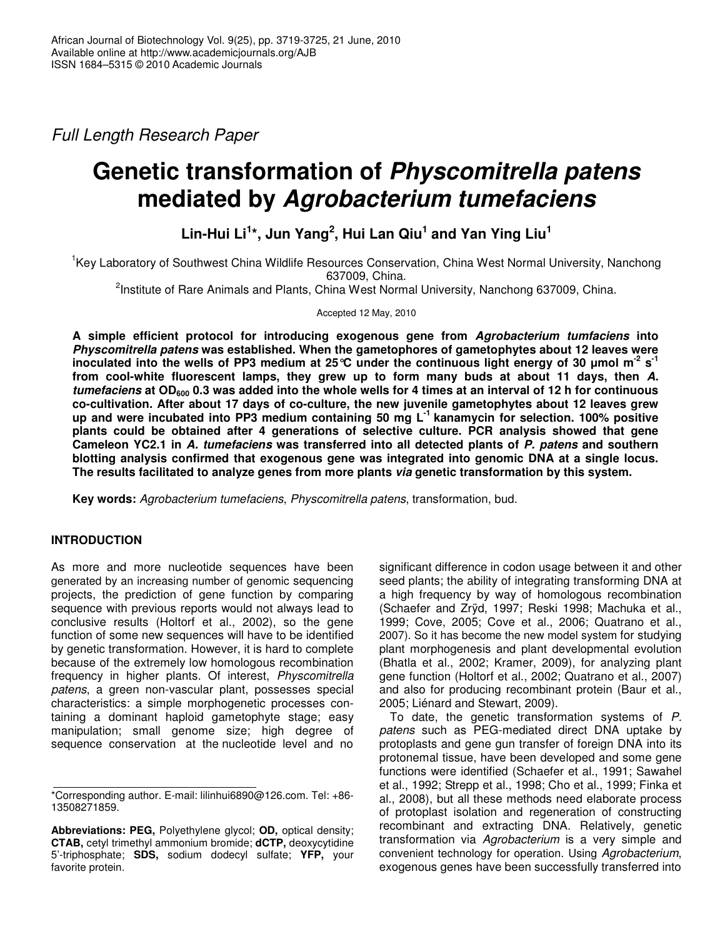*Full Length Research Paper*

# **Genetic transformation of** *Physcomitrella patens* **mediated by** *Agrobacterium tumefaciens*

**Lin-Hui Li 1 \*, Jun Yang 2 , Hui Lan Qiu 1 and Yan Ying Liu 1**

<sup>1</sup>Key Laboratory of Southwest China Wildlife Resources Conservation, China West Normal University, Nanchong 637009, China.

<sup>2</sup>Institute of Rare Animals and Plants, China West Normal University, Nanchong 637009, China.

Accepted 12 May, 2010

**A simple efficient protocol for introducing exogenous gene from** *Agrobacterium tumfaciens* **into** *Physcomitrella patens* **was established. When the gametophores of gametophytes about 12 leaves were** inoculated into the wells of PP3 medium at 25 °C under the continuous light energy of 30 µmol m<sup>-2</sup> s<sup>-1</sup> **from cool-white fluorescent lamps, they grew up to form many buds at about 11 days, then** *A.* tumefaciens at  $OD_{600}$  0.3 was added into the whole wells for 4 times at an interval of 12 h for continuous **co-cultivation. After about 17 days of co-culture, the new juvenile gametophytes about 12 leaves grew up and were incubated into PP3 medium containing 50 mg L -1 kanamycin for selection. 100% positive plants could be obtained after 4 generations of selective culture. PCR analysis showed that gene Cameleon YC2.1 in** *A. tumefaciens* **was transferred into all detected plants of** *P. patens* **and southern blotting analysis confirmed that exogenous gene was integrated into genomic DNA at a single locus. The results facilitated to analyze genes from more plants** *via* **genetic transformation by this system.**

**Key words:** *Agrobacterium tumefaciens*, *Physcomitrella patens*, transformation, bud.

# **INTRODUCTION**

As more and more nucleotide sequences have been generated by an increasing number of genomic sequencing projects, the prediction of gene function by comparing sequence with previous reports would not always lead to conclusive results (Holtorf et al., 2002), so the gene function of some new sequences will have to be identified by genetic transformation. However, it is hard to complete because of the extremely low homologous recombination frequency in higher plants. Of interest, *Physcomitrella patens*, a green non-vascular plant, possesses special characteristics: a simple morphogenetic processes containing a dominant haploid gametophyte stage; easy manipulation; small genome size; high degree of sequence conservation at the nucleotide level and no significant difference in codon usage between it and other seed plants; the ability of integrating transforming DNA at a high frequency by way of homologous recombination (Schaefer and Zrÿd, 1997; Reski 1998; Machuka et al., 1999; Cove, 2005; Cove et al., 2006; Quatrano et al., 2007). So it has become the new model system for studying plant morphogenesis and plant developmental evolution (Bhatla et al., 2002; Kramer, 2009), for analyzing plant gene function (Holtorf et al., 2002; Quatrano et al., 2007) and also for producing recombinant protein (Baur et al., 2005; Liénard and Stewart, 2009).

To date, the genetic transformation systems of *P. patens* such as PEG-mediated direct DNA uptake by protoplasts and gene gun transfer of foreign DNA into its protonemal tissue, have been developed and some gene functions were identified (Schaefer et al., 1991; Sawahel et al., 1992; Strepp et al., 1998; Cho et al., 1999; Finka et al., 2008), but all these methods need elaborate process of protoplast isolation and regeneration of constructing recombinant and extracting DNA. Relatively, genetic transformation via *Agrobacterium* is a very simple and convenient technology for operation. Using *Agrobacterium*, exogenous genes have been successfully transferred into

<sup>\*</sup>Corresponding author. E-mail: lilinhui6890@126.com. Tel: +86- 13508271859.

**Abbreviations: PEG,** Polyethylene glycol; **OD,** optical density; **CTAB,** cetyl trimethyl ammonium bromide; **dCTP,** deoxycytidine 5'-triphosphate; **SDS,** sodium dodecyl sulfate; **YFP,** your favorite protein.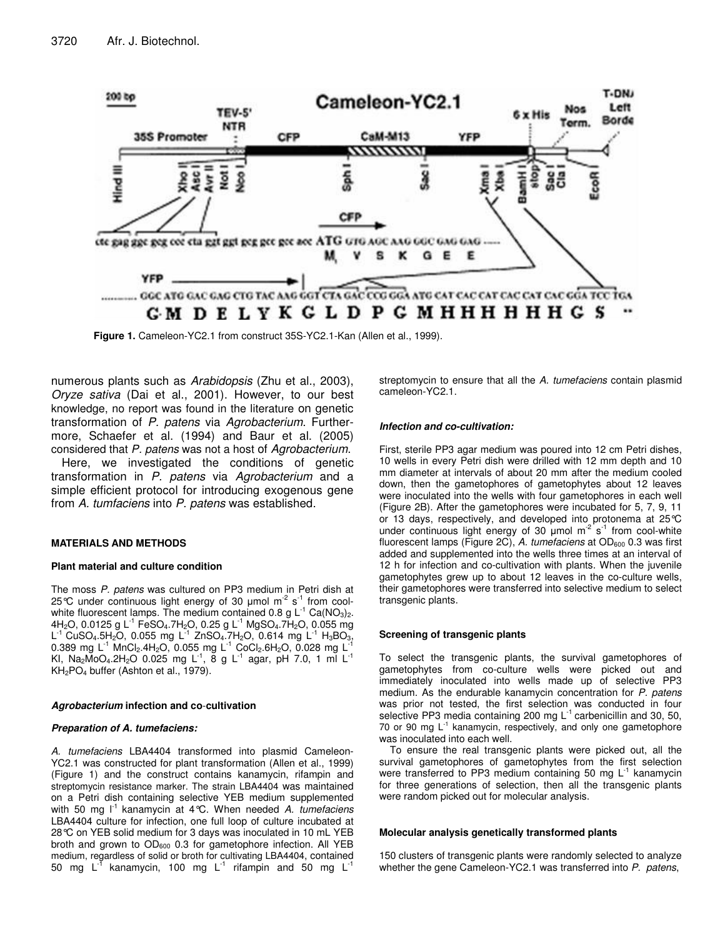

**Figure 1.** Cameleon-YC2.1 from construct 35S-YC2.1-Kan (Allen et al., 1999).

numerous plants such as *Arabidopsis* (Zhu et al., 2003), *Oryze sativa* (Dai et al., 2001). However, to our best knowledge, no report was found in the literature on genetic transformation of *P. patens* via *Agrobacterium*. Furthermore, Schaefer et al. (1994) and Baur et al. (2005) considered that *P. patens* was not a host of *Agrobacterium*.

Here, we investigated the conditions of genetic transformation in *P. patens* via *Agrobacterium* and a simple efficient protocol for introducing exogenous gene from *A. tumfaciens* into *P. patens* was established.

## **MATERIALS AND METHODS**

#### **Plant material and culture condition**

The moss *P. patens* was cultured on PP3 medium in Petri dish at 25°C under continuous light energy of 30  $\mu$ mol m<sup>-2</sup> s<sup>-1</sup> from coolwhite fluorescent lamps. The medium contained 0.8 g  $\mathsf{L}^{\text{-}1}$  Ca(NO<sub>3</sub>)<sub>2</sub>. 4H<sub>2</sub>O, 0.0125 g L<sup>-1</sup> FeSO<sub>4</sub>.7H<sub>2</sub>O, 0.25 g L<sup>-1</sup> MgSO<sub>4</sub>.7H<sub>2</sub>O, 0.055 mg L<sup>-1</sup> CuSO<sub>4</sub>.5H<sub>2</sub>O, 0.055 mg L<sup>-1</sup> ZnSO<sub>4</sub>.7H<sub>2</sub>O, 0.614 mg L<sup>-1</sup> H<sub>3</sub>BO<sub>3</sub>,<br>0.289 mg L<sup>-1</sup> MpCL 4H-O, 0.055 mg L<sup>-1</sup> CoCL 6H-O, 0.028 mg L<sup>-1</sup> 0.389 mg L<sup>-1</sup> MnCl<sub>2</sub>.4H<sub>2</sub>O, 0.055 mg L<sup>-1</sup> CoCl<sub>2</sub>.6H<sub>2</sub>O, 0.028 mg L KI, Na2MoO4.2H2O 0.025 mg L<sup>-1</sup>, 8 g L<sup>-1</sup> agar, pH 7.0, 1 ml L<sup>-1</sup> KH2PO<sup>4</sup> buffer (Ashton et al., 1979).

#### *Agrobacterium* **infection and co**-**cultivation**

### *Preparation of A. tumefaciens:*

*A. tumefaciens* LBA4404 transformed into plasmid Cameleon-YC2.1 was constructed for plant transformation (Allen et al., 1999) (Figure 1) and the construct contains kanamycin, rifampin and streptomycin resistance marker. The strain LBA4404 was maintained on a Petri dish containing selective YEB medium supplemented with 50 mg I<sup>-1</sup> kanamycin at 4°C. When needed A. *tumefaciens* LBA4404 culture for infection, one full loop of culture incubated at 28°C on YEB solid medium for 3 days was inoculated in 10 mL YEB broth and grown to OD<sub>600</sub> 0.3 for gametophore infection. All YEB medium, regardless of solid or broth for cultivating LBA4404, contained 50 mg L<sup>-T</sup> kanamycin, 100 mg L<sup>-1</sup> rifampin and 50 mg L<sup>-1</sup>

streptomycin to ensure that all the *A. tumefaciens* contain plasmid cameleon-YC2.1.

#### *Infection and co-cultivation:*

First, sterile PP3 agar medium was poured into 12 cm Petri dishes, 10 wells in every Petri dish were drilled with 12 mm depth and 10 mm diameter at intervals of about 20 mm after the medium cooled down, then the gametophores of gametophytes about 12 leaves were inoculated into the wells with four gametophores in each well (Figure 2B). After the gametophores were incubated for 5, 7, 9, 11 or 13 days, respectively, and developed into protonema at 25°C under continuous light energy of 30  $\mu$ mol m<sup>-2</sup> s<sup>-1</sup> from cool-white fluorescent lamps (Figure 2C), A. tumefaciens at OD<sub>600</sub> 0.3 was first added and supplemented into the wells three times at an interval of 12 h for infection and co-cultivation with plants. When the juvenile gametophytes grew up to about 12 leaves in the co-culture wells, their gametophores were transferred into selective medium to select transgenic plants.

#### **Screening of transgenic plants**

To select the transgenic plants, the survival gametophores of gametophytes from co-culture wells were picked out and immediately inoculated into wells made up of selective PP3 medium. As the endurable kanamycin concentration for *P. patens* was prior not tested, the first selection was conducted in four selective PP3 media containing 200 mg  $L^{-1}$  carbenicillin and 30, 50, 70 or 90 mg L<sup>-1</sup> kanamycin, respectively, and only one gametophore was inoculated into each well.

To ensure the real transgenic plants were picked out, all the survival gametophores of gametophytes from the first selection were transferred to PP3 medium containing 50 mg L<sup>-1</sup> kanamycin for three generations of selection, then all the transgenic plants were random picked out for molecular analysis.

#### **Molecular analysis genetically transformed plants**

150 clusters of transgenic plants were randomly selected to analyze whether the gene Cameleon-YC2.1 was transferred into *P. patens*,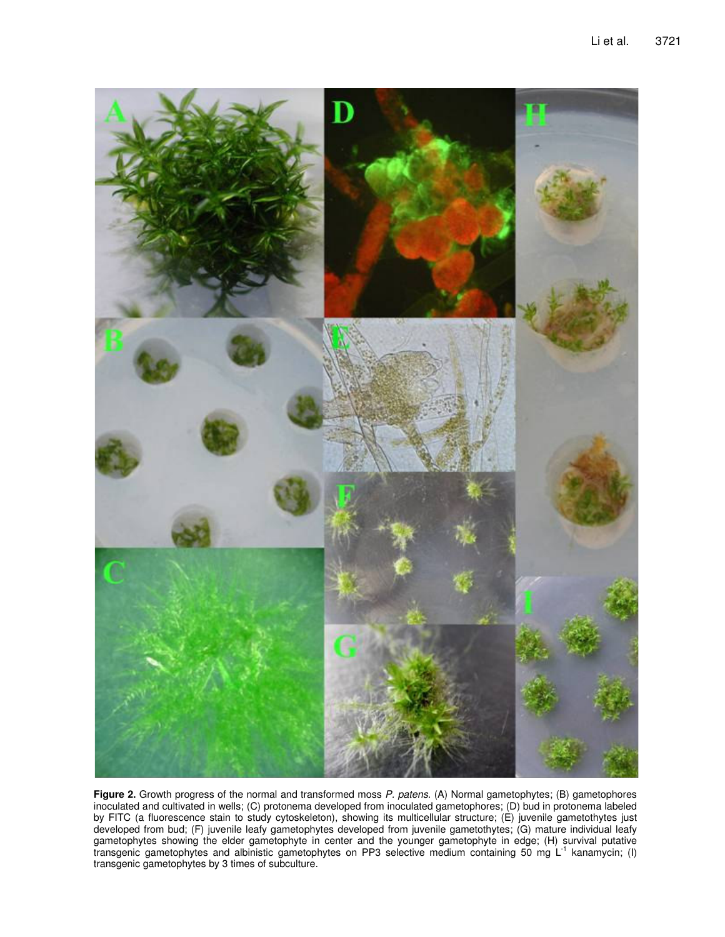

**Figure 2.** Growth progress of the normal and transformed moss *P. patens*. (A) Normal gametophytes; (B) gametophores inoculated and cultivated in wells; (C) protonema developed from inoculated gametophores; (D) bud in protonema labeled by FITC (a fluorescence stain to study cytoskeleton), showing its multicellular structure; (E) juvenile gametothytes just developed from bud; (F) juvenile leafy gametophytes developed from juvenile gametothytes; (G) mature individual leafy gametophytes showing the elder gametophyte in center and the younger gametophyte in edge; (H) survival putative transgenic gametophytes and albinistic gametophytes on PP3 selective medium containing 50 mg L<sup>-1</sup> kanamycin; (I) transgenic gametophytes by 3 times of subculture.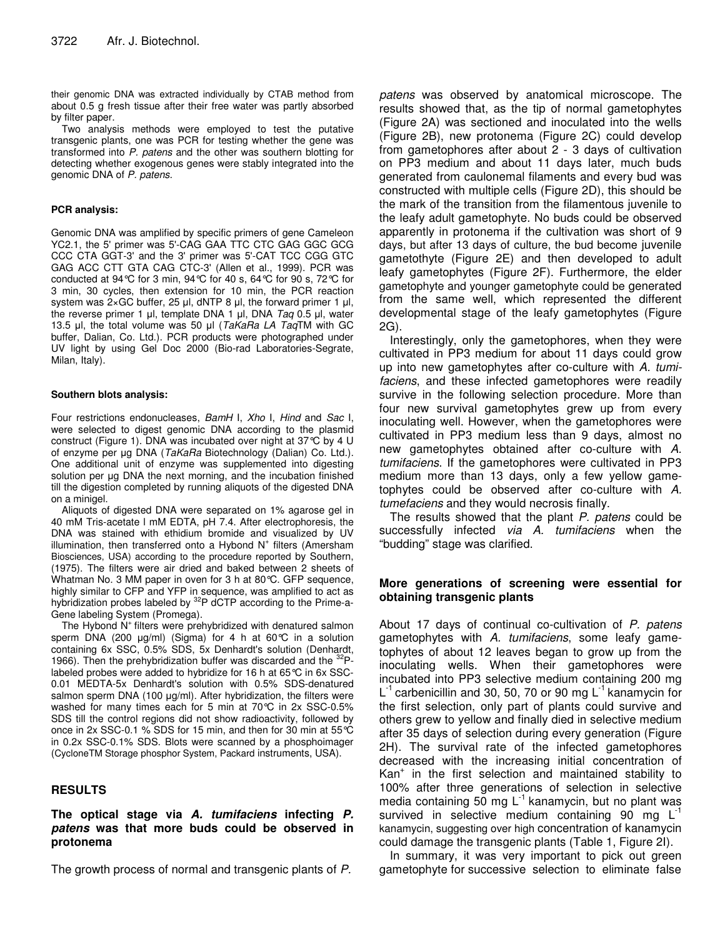their genomic DNA was extracted individually by CTAB method from about 0.5 g fresh tissue after their free water was partly absorbed by filter paper.

Two analysis methods were employed to test the putative transgenic plants, one was PCR for testing whether the gene was transformed into *P. patens* and the other was southern blotting for detecting whether exogenous genes were stably integrated into the genomic DNA of *P. patens*.

## **PCR analysis:**

Genomic DNA was amplified by specific primers of gene Cameleon YC2.1, the 5' primer was 5'-CAG GAA TTC CTC GAG GGC GCG CCC CTA GGT-3' and the 3' primer was 5'-CAT TCC CGG GTC GAG ACC CTT GTA CAG CTC-3' (Allen et al., 1999). PCR was conducted at 94°C for 3 min, 94°C for 40 s, 64°C for 90 s, 72°C for 3 min, 30 cycles, then extension for 10 min, the PCR reaction system was  $2 \times GC$  buffer, 25 µl, dNTP 8 µl, the forward primer 1 µl, the reverse primer 1 µl, template DNA 1 µl, DNA *Taq* 0.5 µl, water 13.5 µl, the total volume was 50 µl (*TaKaRa LA TaqTM* with GC buffer, Dalian, Co. Ltd.). PCR products were photographed under UV light by using Gel Doc 2000 (Bio-rad Laboratories-Segrate, Milan, Italy).

## **Southern blots analysis:**

Four restrictions endonucleases, *BamH* I, *Xho* I, *Hind* and *Sac* I, were selected to digest genomic DNA according to the plasmid construct (Figure 1). DNA was incubated over night at 37°C by 4 U of enzyme per µg DNA (*TaKaRa* Biotechnology (Dalian) Co. Ltd.). One additional unit of enzyme was supplemented into digesting solution per µg DNA the next morning, and the incubation finished till the digestion completed by running aliquots of the digested DNA on a minigel.

Aliquots of digested DNA were separated on 1% agarose gel in 40 mM Tris-acetate l mM EDTA, pH 7.4. After electrophoresis, the DNA was stained with ethidium bromide and visualized by UV illumination, then transferred onto a Hybond N<sup>+</sup> filters (Amersham Biosciences, USA) according to the procedure reported by Southern, (1975). The filters were air dried and baked between 2 sheets of Whatman No. 3 MM paper in oven for 3 h at 80°C. GFP sequence, highly similar to CFP and YFP in sequence, was amplified to act as hybridization probes labeled by <sup>32</sup>P dCTP according to the Prime-a-Gene labeling System (Promega).

The Hybond N<sup>+</sup> filters were prehybridized with denatured salmon sperm DNA (200  $\mu$ g/ml) (Sigma) for 4 h at 60°C in a solution containing 6x SSC, 0.5% SDS, 5x Denhardt's solution (Denhardt, 1966). Then the prehybridization buffer was discarded and the <sup>32</sup>Plabeled probes were added to hybridize for 16 h at 65°C in 6x SSC-0.01 MEDTA-5x Denhardt's solution with 0.5% SDS-denatured salmon sperm DNA (100  $\mu$ g/ml). After hybridization, the filters were washed for many times each for 5 min at 70°C in 2x SSC-0.5% SDS till the control regions did not show radioactivity, followed by once in 2x SSC-0.1 % SDS for 15 min, and then for 30 min at 55°C in 0.2x SSC-0.1% SDS. Blots were scanned by a phosphoimager (CycloneTM Storage phosphor System, Packard instruments, USA).

# **RESULTS**

## **The optical stage via** *A. tumifaciens* **infecting** *P. patens* **was that more buds could be observed in protonema**

The growth process of normal and transgenic plants of *P.*

*patens* was observed by anatomical microscope. The results showed that, as the tip of normal gametophytes (Figure 2A) was sectioned and inoculated into the wells (Figure 2B), new protonema (Figure 2C) could develop from gametophores after about 2 - 3 days of cultivation on PP3 medium and about 11 days later, much buds generated from caulonemal filaments and every bud was constructed with multiple cells (Figure 2D), this should be the mark of the transition from the filamentous juvenile to the leafy adult gametophyte. No buds could be observed apparently in protonema if the cultivation was short of 9 days, but after 13 days of culture, the bud become juvenile gametothyte (Figure 2E) and then developed to adult leafy gametophytes (Figure 2F). Furthermore, the elder gametophyte and younger gametophyte could be generated from the same well, which represented the different developmental stage of the leafy gametophytes (Figure 2G).

Interestingly, only the gametophores, when they were cultivated in PP3 medium for about 11 days could grow up into new gametophytes after co-culture with *A. tumifaciens*, and these infected gametophores were readily survive in the following selection procedure. More than four new survival gametophytes grew up from every inoculating well. However, when the gametophores were cultivated in PP3 medium less than 9 days, almost no new gametophytes obtained after co-culture with *A. tumifaciens*. If the gametophores were cultivated in PP3 medium more than 13 days, only a few yellow gametophytes could be observed after co-culture with *A. tumefaciens* and they would necrosis finally.

The results showed that the plant *P. patens* could be successfully infected *via A. tumifaciens* when the "budding" stage was clarified.

# **More generations of screening were essential for obtaining transgenic plants**

About 17 days of continual co-cultivation of *P. patens* gametophytes with *A. tumifaciens*, some leafy gametophytes of about 12 leaves began to grow up from the inoculating wells. When their gametophores were incubated into PP3 selective medium containing 200 mg L<sup>-1</sup> carbenicillin and 30, 50, 70 or 90 mg L<sup>-1</sup> kanamycin for the first selection, only part of plants could survive and others grew to yellow and finally died in selective medium after 35 days of selection during every generation (Figure 2H). The survival rate of the infected gametophores decreased with the increasing initial concentration of Kan + in the first selection and maintained stability to 100% after three generations of selection in selective media containing 50 mg L $^{-1}$  kanamycin, but no plant was survived in selective medium containing 90 mg  $L^{-1}$ kanamycin, suggesting over high concentration of kanamycin could damage the transgenic plants (Table 1, Figure 2I).

In summary, it was very important to pick out green gametophyte for successive selection to eliminate false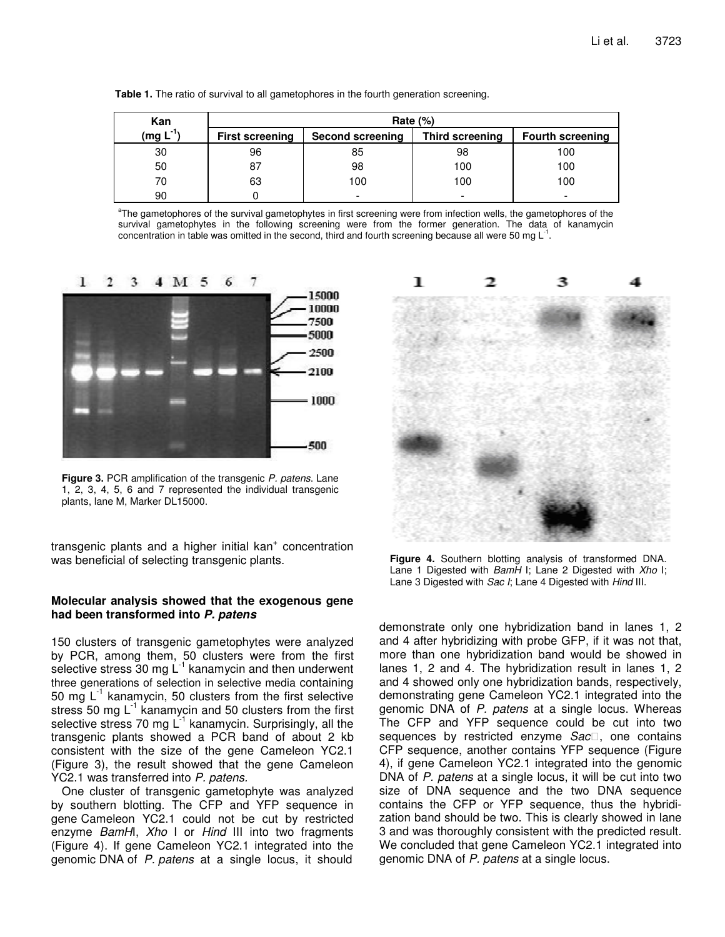|  |  | Table 1. The ratio of survival to all gametophores in the fourth generation screening. |  |  |
|--|--|----------------------------------------------------------------------------------------|--|--|
|  |  |                                                                                        |  |  |

| Kan        | Rate $(\%)$            |                  |                 |                         |  |  |
|------------|------------------------|------------------|-----------------|-------------------------|--|--|
| $(mg L-1)$ | <b>First screening</b> | Second screening | Third screening | <b>Fourth screening</b> |  |  |
| 30         | 96                     | 85               | 98              | 100                     |  |  |
| 50         | 87                     | 98               | 100             | 100                     |  |  |
| 70         | 63                     | 100              | 100             | 100                     |  |  |
| 90         |                        |                  |                 |                         |  |  |

<sup>a</sup>The gametophores of the survival gametophytes in first screening were from infection wells, the gametophores of the survival gametophytes in the following screening were from the former generation. The data of kanamycin concentration in table was omitted in the second, third and fourth screening because all were 50 mg  $L^{-1}$ .



**Figure 3.** PCR amplification of the transgenic *P. patens*. Lane 1, 2, 3, 4, 5, 6 and 7 represented the individual transgenic plants, lane M, Marker DL15000.

transgenic plants and a higher initial kan<sup>+</sup> concentration was beneficial of selecting transgenic plants.

## **Molecular analysis showed that the exogenous gene had been transformed into** *P. patens*

150 clusters of transgenic gametophytes were analyzed by PCR, among them, 50 clusters were from the first selective stress 30 mg  $\mathsf{L}^1$  kanamycin and then underwent three generations of selection in selective media containing 50 mg  $L^{-1}$  kanamycin, 50 clusters from the first selective stress 50 mg  $L^{-1}$  kanamycin and 50 clusters from the first selective stress 70 mg L<sup>-1</sup> kanamycin. Surprisingly, all the transgenic plants showed a PCR band of about 2 kb consistent with the size of the gene Cameleon YC2.1 (Figure 3), the result showed that the gene Cameleon YC2.1 was transferred into *P. patens.*

One cluster of transgenic gametophyte was analyzed by southern blotting. The CFP and YFP sequence in gene Cameleon YC2.1 could not be cut by restricted enzyme *BamH*I, *Xho* I or *Hind* III into two fragments (Figure 4). If gene Cameleon YC2.1 integrated into the genomic DNA of *P. patens* at a single locus, it should



**Figure 4.** Southern blotting analysis of transformed DNA. Lane 1 Digested with *BamH* I; Lane 2 Digested with *Xho* I; Lane 3 Digested with *Sac I*; Lane 4 Digested with *Hind* III.

demonstrate only one hybridization band in lanes 1, 2 and 4 after hybridizing with probe GFP, if it was not that, more than one hybridization band would be showed in lanes 1, 2 and 4. The hybridization result in lanes 1, 2 and 4 showed only one hybridization bands, respectively, demonstrating gene Cameleon YC2.1 integrated into the genomic DNA of *P. patens* at a single locus. Whereas The CFP and YFP sequence could be cut into two sequences by restricted enzyme *Sac*, one contains CFP sequence, another contains YFP sequence (Figure 4), if gene Cameleon YC2.1 integrated into the genomic DNA of *P. patens* at a single locus, it will be cut into two size of DNA sequence and the two DNA sequence contains the CFP or YFP sequence, thus the hybridization band should be two. This is clearly showed in lane 3 and was thoroughly consistent with the predicted result. We concluded that gene Cameleon YC2.1 integrated into genomic DNA of *P. patens* at a single locus.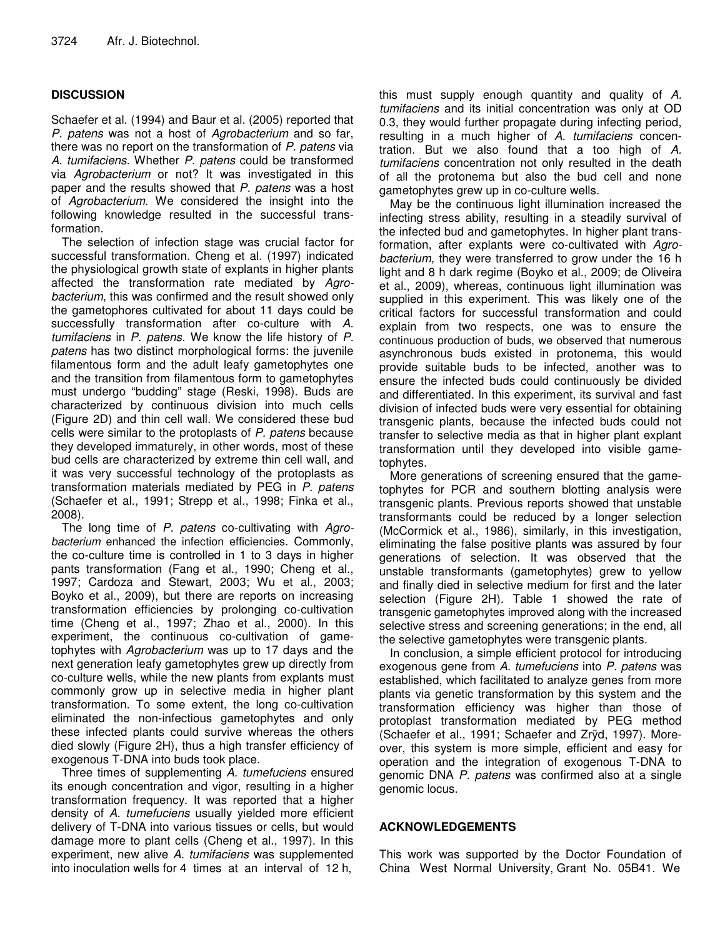# **DISCUSSION**

Schaefer et al. (1994) and Baur et al. (2005) reported that *P. patens* was not a host of *Agrobacterium* and so far, there was no report on the transformation of *P. patens* via *A. tumifaciens*. Whether *P. patens* could be transformed via *Agrobacterium* or not? It was investigated in this paper and the results showed that *P. patens* was a host of *Agrobacterium*. We considered the insight into the following knowledge resulted in the successful transformation.

The selection of infection stage was crucial factor for successful transformation. Cheng et al. (1997) indicated the physiological growth state of explants in higher plants affected the transformation rate mediated by *Agrobacterium*, this was confirmed and the result showed only the gametophores cultivated for about 11 days could be successfully transformation after co-culture with *A. tumifaciens* in *P. patens.* We know the life history of *P. patens* has two distinct morphological forms: the juvenile filamentous form and the adult leafy gametophytes one and the transition from filamentous form to gametophytes must undergo "budding" stage (Reski, 1998). Buds are characterized by continuous division into much cells (Figure 2D) and thin cell wall. We considered these bud cells were similar to the protoplasts of *P. patens* because they developed immaturely, in other words, most of these bud cells are characterized by extreme thin cell wall, and it was very successful technology of the protoplasts as transformation materials mediated by PEG in *P. patens* (Schaefer et al., 1991; Strepp et al., 1998; Finka et al., 2008).

The long time of *P. patens* co-cultivating with *Agrobacterium* enhanced the infection efficiencies. Commonly, the co-culture time is controlled in 1 to 3 days in higher pants transformation (Fang et al., 1990; Cheng et al., 1997; Cardoza and Stewart, 2003; Wu et al., 2003; Boyko et al., 2009), but there are reports on increasing transformation efficiencies by prolonging co-cultivation time (Cheng et al., 1997; Zhao et al., 2000). In this experiment, the continuous co-cultivation of gametophytes with *Agrobacterium* was up to 17 days and the next generation leafy gametophytes grew up directly from co-culture wells, while the new plants from explants must commonly grow up in selective media in higher plant transformation. To some extent, the long co-cultivation eliminated the non-infectious gametophytes and only these infected plants could survive whereas the others died slowly (Figure 2H), thus a high transfer efficiency of exogenous T-DNA into buds took place.

Three times of supplementing *A. tumefuciens* ensured its enough concentration and vigor, resulting in a higher transformation frequency. It was reported that a higher density of *A. tumefuciens* usually yielded more efficient delivery of T-DNA into various tissues or cells, but would damage more to plant cells (Cheng et al., 1997). In this experiment, new alive *A. tumifaciens* was supplemented into inoculation wells for 4 times at an interval of 12 h,

this must supply enough quantity and quality of *A. tumifaciens* and its initial concentration was only at OD 0.3, they would further propagate during infecting period, resulting in a much higher of *A. tumifaciens* concentration. But we also found that a too high of *A. tumifaciens* concentration not only resulted in the death of all the protonema but also the bud cell and none gametophytes grew up in co-culture wells.

May be the continuous light illumination increased the infecting stress ability, resulting in a steadily survival of the infected bud and gametophytes. In higher plant transformation, after explants were co-cultivated with *Agrobacterium*, they were transferred to grow under the 16 h light and 8 h dark regime (Boyko et al., 2009; de Oliveira et al., 2009), whereas, continuous light illumination was supplied in this experiment. This was likely one of the critical factors for successful transformation and could explain from two respects, one was to ensure the continuous production of buds, we observed that numerous asynchronous buds existed in protonema, this would provide suitable buds to be infected, another was to ensure the infected buds could continuously be divided and differentiated. In this experiment, its survival and fast division of infected buds were very essential for obtaining transgenic plants, because the infected buds could not transfer to selective media as that in higher plant explant transformation until they developed into visible gametophytes.

More generations of screening ensured that the gametophytes for PCR and southern blotting analysis were transgenic plants. Previous reports showed that unstable transformants could be reduced by a longer selection (McCormick et al., 1986), similarly, in this investigation, eliminating the false positive plants was assured by four generations of selection. It was observed that the unstable transformants (gametophytes) grew to yellow and finally died in selective medium for first and the later selection (Figure 2H). Table 1 showed the rate of transgenic gametophytes improved along with the increased selective stress and screening generations; in the end, all the selective gametophytes were transgenic plants.

In conclusion, a simple efficient protocol for introducing exogenous gene from *A. tumefuciens* into *P. patens* was established, which facilitated to analyze genes from more plants via genetic transformation by this system and the transformation efficiency was higher than those of protoplast transformation mediated by PEG method (Schaefer et al., 1991; Schaefer and Zrÿd, 1997). Moreover, this system is more simple, efficient and easy for operation and the integration of exogenous T-DNA to genomic DNA *P. patens* was confirmed also at a single genomic locus.

# **ACKNOWLEDGEMENTS**

This work was supported by the Doctor Foundation of China West Normal University, Grant No. 05B41. We